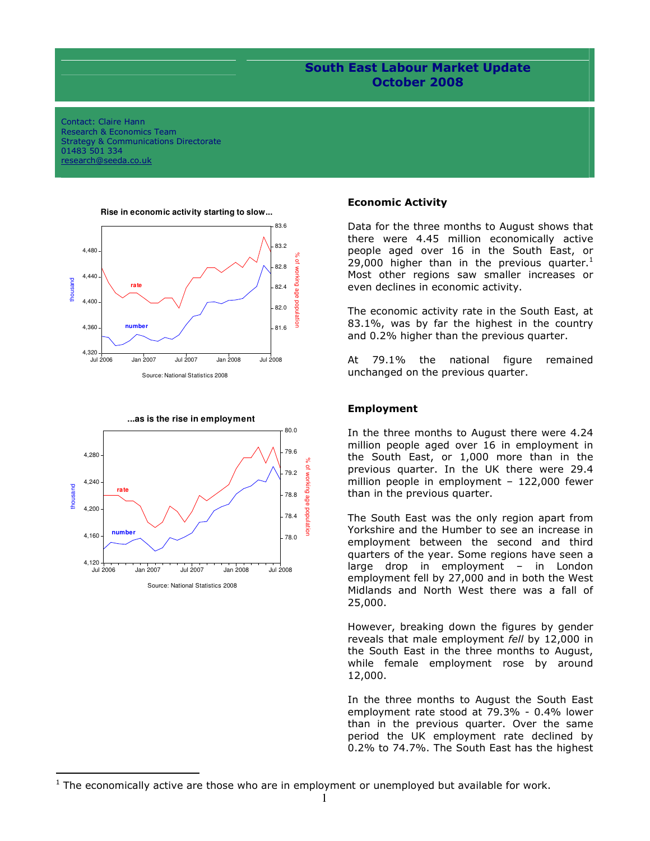# South East Labour Market Update October 2008

Contact: Claire Hann Research & Economics Team Strategy & Communications Directorate 01483 501 334 research@seeda.co.uk





l

#### **Rise in economic activity starting to slow...**

#### Economic Activity

Data for the three months to August shows that there were 4.45 million economically active people aged over 16 in the South East, or 29,000 higher than in the previous quarter.<sup>1</sup> Most other regions saw smaller increases or even declines in economic activity.

The economic activity rate in the South East, at 83.1%, was by far the highest in the country and 0.2% higher than the previous quarter.

At 79.1% the national figure remained unchanged on the previous quarter.

### Employment

In the three months to August there were 4.24 million people aged over 16 in employment in the South East, or 1,000 more than in the previous quarter. In the UK there were 29.4 million people in employment – 122,000 fewer than in the previous quarter.

The South East was the only region apart from Yorkshire and the Humber to see an increase in employment between the second and third quarters of the year. Some regions have seen a large drop in employment – in London employment fell by 27,000 and in both the West Midlands and North West there was a fall of 25,000.

However, breaking down the figures by gender reveals that male employment fell by 12,000 in the South East in the three months to August, while female employment rose by around 12,000.

In the three months to August the South East employment rate stood at 79.3% - 0.4% lower than in the previous quarter. Over the same period the UK employment rate declined by 0.2% to 74.7%. The South East has the highest

 $1$  The economically active are those who are in employment or unemployed but available for work.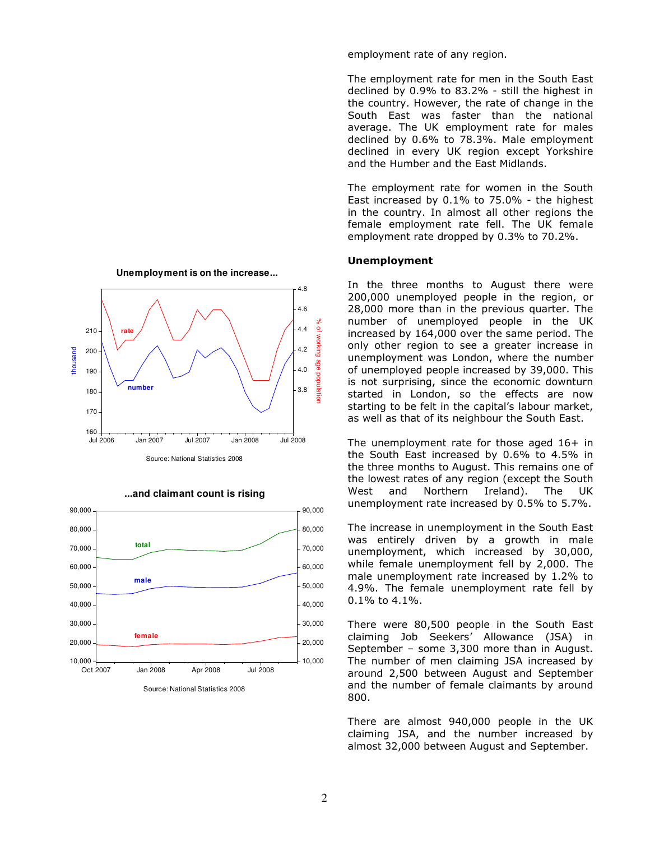

**...and claimant count is rising**



Source: National Statistics 2008

employment rate of any region.

The employment rate for men in the South East declined by 0.9% to 83.2% - still the highest in the country. However, the rate of change in the South East was faster than the national average. The UK employment rate for males declined by 0.6% to 78.3%. Male employment declined in every UK region except Yorkshire and the Humber and the East Midlands.

The employment rate for women in the South East increased by 0.1% to 75.0% - the highest in the country. In almost all other regions the female employment rate fell. The UK female employment rate dropped by 0.3% to 70.2%.

### Unemployment

In the three months to August there were 200,000 unemployed people in the region, or 28,000 more than in the previous quarter. The number of unemployed people in the UK increased by 164,000 over the same period. The only other region to see a greater increase in unemployment was London, where the number of unemployed people increased by 39,000. This is not surprising, since the economic downturn started in London, so the effects are now starting to be felt in the capital's labour market, as well as that of its neighbour the South East.

The unemployment rate for those aged  $16+$  in the South East increased by 0.6% to 4.5% in the three months to August. This remains one of the lowest rates of any region (except the South West and Northern Ireland). The UK unemployment rate increased by 0.5% to 5.7%.

The increase in unemployment in the South East was entirely driven by a growth in male unemployment, which increased by 30,000, while female unemployment fell by 2,000. The male unemployment rate increased by 1.2% to 4.9%. The female unemployment rate fell by 0.1% to 4.1%.

There were 80,500 people in the South East claiming Job Seekers' Allowance (JSA) in September – some 3,300 more than in August. The number of men claiming JSA increased by around 2,500 between August and September and the number of female claimants by around 800.

There are almost 940,000 people in the UK claiming JSA, and the number increased by almost 32,000 between August and September.